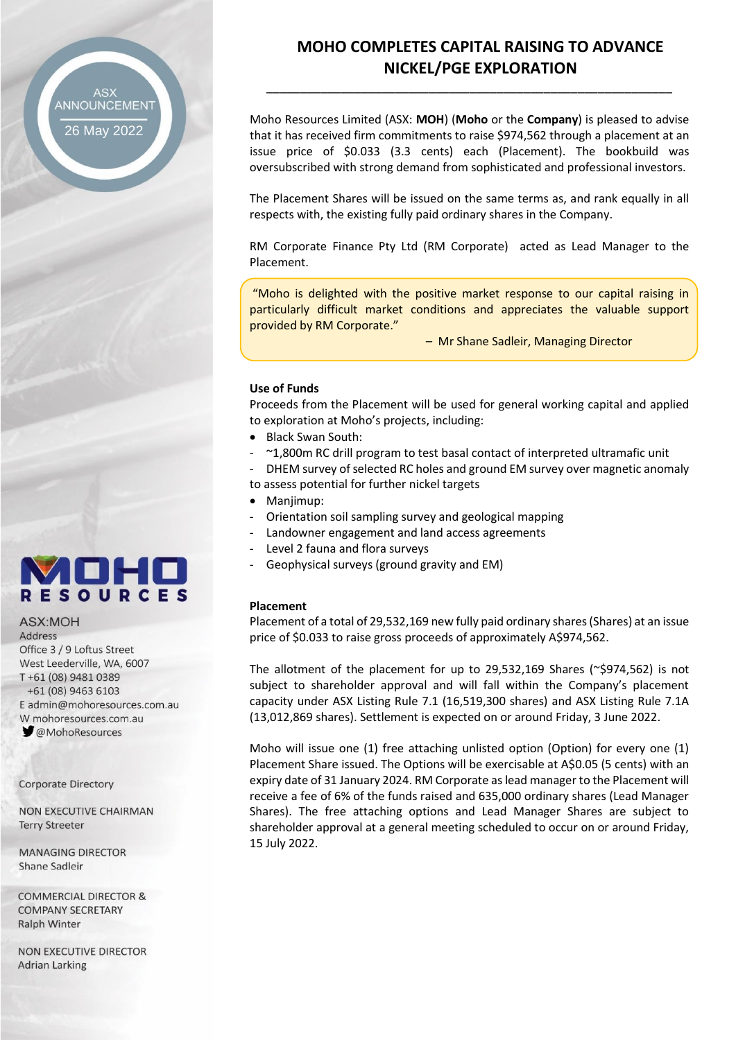ANNOUNCEMENT

26 May 2022

# **MOHO COMPLETES CAPITAL RAISING TO ADVANCE NICKEL/PGE EXPLORATION**

Moho Resources Limited (ASX: **MOH**) (**Moho** or the **Company**) is pleased to advise that it has received firm commitments to raise \$974,562 through a placement at an issue price of \$0.033 (3.3 cents) each (Placement). The bookbuild was oversubscribed with strong demand from sophisticated and professional investors.

\_\_\_\_\_\_\_\_\_\_\_\_\_\_\_\_\_\_\_\_\_\_\_\_\_\_\_\_\_\_\_\_\_\_\_\_\_\_\_\_\_\_\_\_\_\_\_\_\_\_\_\_\_\_\_\_\_\_\_\_

The Placement Shares will be issued on the same terms as, and rank equally in all respects with, the existing fully paid ordinary shares in the Company.

RM Corporate Finance Pty Ltd (RM Corporate) acted as Lead Manager to the Placement.

"Moho is delighted with the positive market response to our capital raising in particularly difficult market conditions and appreciates the valuable support provided by RM Corporate."

– Mr Shane Sadleir, Managing Director

#### **Use of Funds**

Proceeds from the Placement will be used for general working capital and applied to exploration at Moho's projects, including:

- Black Swan South:
- ~1,800m RC drill program to test basal contact of interpreted ultramafic unit

DHEM survey of selected RC holes and ground EM survey over magnetic anomaly to assess potential for further nickel targets

- Manjimup:
- Orientation soil sampling survey and geological mapping
- Landowner engagement and land access agreements
- Level 2 fauna and flora surveys
- Geophysical surveys (ground gravity and EM)

#### **Placement**

Placement of a total of 29,532,169 new fully paid ordinary shares (Shares) at an issue price of \$0.033 to raise gross proceeds of approximately A\$974,562.

The allotment of the placement for up to 29,532,169 Shares ( $\degree$ \$974,562) is not subject to shareholder approval and will fall within the Company's placement capacity under ASX Listing Rule 7.1 (16,519,300 shares) and ASX Listing Rule 7.1A (13,012,869 shares). Settlement is expected on or around Friday, 3 June 2022.

Moho will issue one (1) free attaching unlisted option (Option) for every one (1) Placement Share issued. The Options will be exercisable at A\$0.05 (5 cents) with an expiry date of 31 January 2024. RM Corporate as lead manager to the Placement will receive a fee of 6% of the funds raised and 635,000 ordinary shares (Lead Manager Shares). The free attaching options and Lead Manager Shares are subject to shareholder approval at a general meeting scheduled to occur on or around Friday, 15 July 2022.

ИПН **RESOURCES** ASX:MOH

Address Office 3 / 9 Loftus Street West Leederville, WA, 6007 T+61 (08) 9481 0389 +61 (08) 9463 6103 E admin@mohoresources.com.au W mohoresources.com.au **MohoResources** 

**Corporate Directory** 

NON EXECUTIVE CHAIRMAN **Terry Streeter** 

**MANAGING DIRECTOR** Shane Sadleir

**COMMERCIAL DIRECTOR & COMPANY SECRETARY Ralph Winter** 

**NON EXECUTIVE DIRECTOR Adrian Larking**